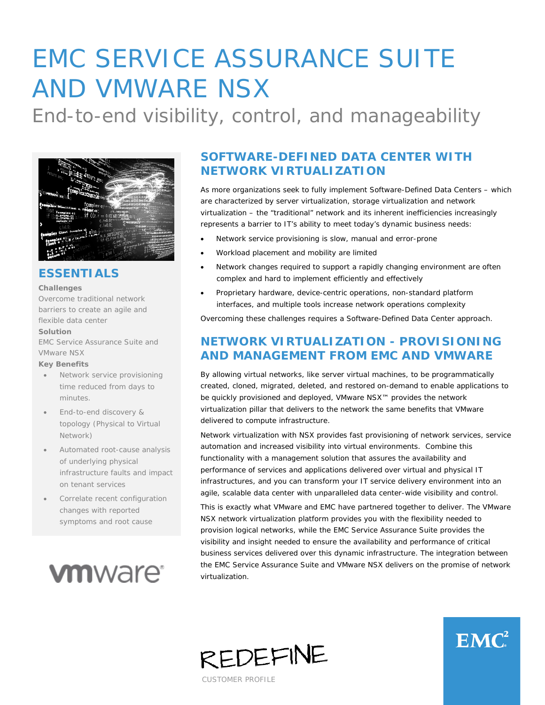# EMC SERVICE ASSURANCE SUITE AND VMWARE NSX

End-to-end visibility, control, and manageability



### **ESSENTIALS**

#### **Challenges**

Overcome traditional network barriers to create an agile and flexible data center

#### **Solution**

EMC Service Assurance Suite and VMware NSX

#### **Key Benefits**

- Network service provisioning time reduced from days to minutes.
- End-to-end discovery & topology (Physical to Virtual Network)
- Automated root-cause analysis of underlying physical infrastructure faults and impact on tenant services
- Correlate recent configuration changes with reported symptoms and root cause



# **SOFTWARE-DEFINED DATA CENTER WITH NETWORK VIRTUALIZATION**

As more organizations seek to fully implement Software-Defined Data Centers – which are characterized by server virtualization, storage virtualization and network virtualization – the "traditional" network and its inherent inefficiencies increasingly represents a barrier to IT's ability to meet today's dynamic business needs:

- Network service provisioning is slow, manual and error-prone
- Workload placement and mobility are limited
- Network changes required to support a rapidly changing environment are often complex and hard to implement efficiently and effectively
- Proprietary hardware, device-centric operations, non-standard platform interfaces, and multiple tools increase network operations complexity

Overcoming these challenges requires a Software-Defined Data Center approach.

## **NETWORK VIRTUALIZATION - PROVISIONING AND MANAGEMENT FROM EMC AND VMWARE**

By allowing virtual networks, like server virtual machines, to be programmatically created, cloned, migrated, deleted, and restored on-demand to enable applications to be quickly provisioned and deployed, VMware NSX™ provides the network virtualization pillar that delivers to the network the same benefits that VMware delivered to compute infrastructure.

Network virtualization with NSX provides fast provisioning of network services, service automation and increased visibility into virtual environments. Combine this functionality with a management solution that assures the availability and performance of services and applications delivered over virtual *and* physical IT infrastructures, and you can transform your IT service delivery environment into an agile, scalable data center with unparalleled data center-wide visibility and control.

This is exactly what VMware and EMC have partnered together to deliver. The VMware NSX network virtualization platform provides you with the flexibility needed to provision logical networks, while the EMC Service Assurance Suite provides the visibility and insight needed to ensure the availability and performance of critical business services delivered over this dynamic infrastructure. The integration between the EMC Service Assurance Suite and VMware NSX delivers on the promise of network virtualization.



 $EMC<sup>2</sup>$ 

CUSTOMER PROFILE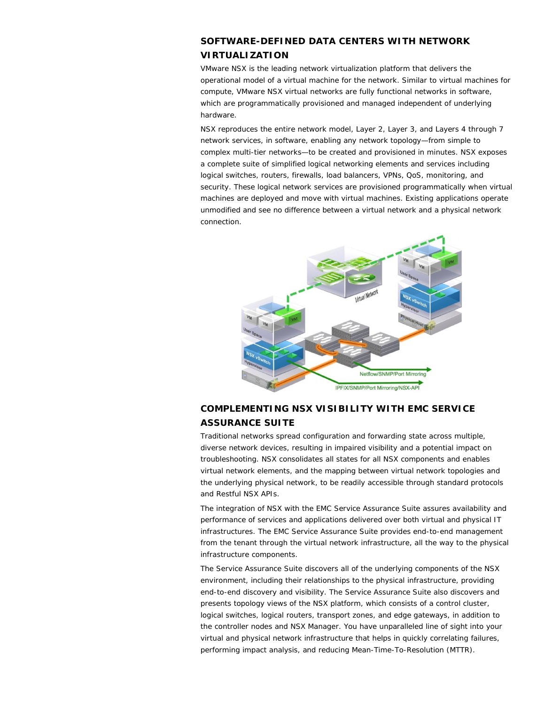#### **SOFTWARE-DEFINED DATA CENTERS WITH NETWORK VIRTUALIZATION**

VMware NSX is the leading network virtualization platform that delivers the operational model of a virtual machine for the network. Similar to virtual machines for compute, VMware NSX virtual networks are fully functional networks in software, which are programmatically provisioned and managed independent of underlying hardware.

NSX reproduces the entire network model, Layer 2, Layer 3, and Layers 4 through 7 network services, in software, enabling any network topology—from simple to complex multi-tier networks—to be created and provisioned in minutes. NSX exposes a complete suite of simplified logical networking elements and services including logical switches, routers, firewalls, load balancers, VPNs, QoS, monitoring, and security. These logical network services are provisioned programmatically when virtual machines are deployed and move with virtual machines. Existing applications operate unmodified and see no difference between a virtual network and a physical network connection.



#### **COMPLEMENTING NSX VISIBILITY WITH EMC SERVICE ASSURANCE SUITE**

Traditional networks spread configuration and forwarding state across multiple, diverse network devices, resulting in impaired visibility and a potential impact on troubleshooting. NSX consolidates all states for all NSX components and enables virtual network elements, and the mapping between virtual network topologies and the underlying physical network, to be readily accessible through standard protocols and Restful NSX APIs.

The integration of NSX with the EMC Service Assurance Suite assures availability and performance of services and applications delivered over both virtual and physical IT infrastructures. The EMC Service Assurance Suite provides end-to-end management from the tenant through the virtual network infrastructure, all the way to the physical infrastructure components.

The Service Assurance Suite discovers all of the underlying components of the NSX environment, including their relationships to the physical infrastructure, providing end-to-end discovery and visibility. The Service Assurance Suite also discovers and presents topology views of the NSX platform, which consists of a control cluster, logical switches, logical routers, transport zones, and edge gateways, in addition to the controller nodes and NSX Manager. You have unparalleled line of sight into your virtual and physical network infrastructure that helps in quickly correlating failures, performing impact analysis, and reducing Mean-Time-To-Resolution (MTTR).